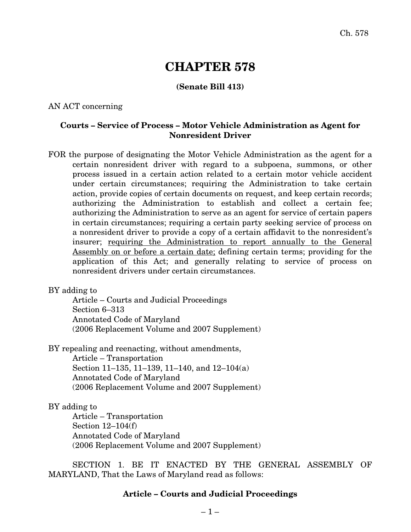# **CHAPTER 578**

## **(Senate Bill 413)**

#### AN ACT concerning

## **Courts – Service of Process – Motor Vehicle Administration as Agent for Nonresident Driver**

FOR the purpose of designating the Motor Vehicle Administration as the agent for a certain nonresident driver with regard to a subpoena, summons, or other process issued in a certain action related to a certain motor vehicle accident under certain circumstances; requiring the Administration to take certain action, provide copies of certain documents on request, and keep certain records; authorizing the Administration to establish and collect a certain fee; authorizing the Administration to serve as an agent for service of certain papers in certain circumstances; requiring a certain party seeking service of process on a nonresident driver to provide a copy of a certain affidavit to the nonresident's insurer; requiring the Administration to report annually to the General Assembly on or before a certain date; defining certain terms; providing for the application of this Act; and generally relating to service of process on nonresident drivers under certain circumstances.

#### BY adding to

Article – Courts and Judicial Proceedings Section 6–313 Annotated Code of Maryland (2006 Replacement Volume and 2007 Supplement)

BY repealing and reenacting, without amendments,

Article – Transportation Section 11–135, 11–139, 11–140, and 12–104(a) Annotated Code of Maryland (2006 Replacement Volume and 2007 Supplement)

### BY adding to

Article – Transportation Section 12–104(f) Annotated Code of Maryland (2006 Replacement Volume and 2007 Supplement)

SECTION 1. BE IT ENACTED BY THE GENERAL ASSEMBLY OF MARYLAND, That the Laws of Maryland read as follows:

#### **Article – Courts and Judicial Proceedings**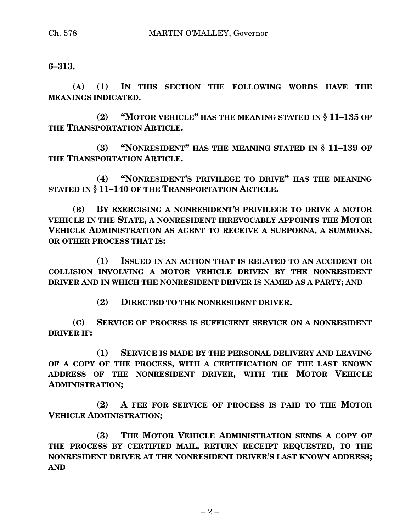## **6–313.**

**(A) (1) IN THIS SECTION THE FOLLOWING WORDS HAVE THE MEANINGS INDICATED.**

**(2) "MOTOR VEHICLE" HAS THE MEANING STATED IN § 11–135 OF THE TRANSPORTATION ARTICLE.**

**(3) "NONRESIDENT" HAS THE MEANING STATED IN § 11–139 OF THE TRANSPORTATION ARTICLE.**

**(4) "NONRESIDENT'S PRIVILEGE TO DRIVE" HAS THE MEANING STATED IN § 11–140 OF THE TRANSPORTATION ARTICLE.**

**(B) BY EXERCISING A NONRESIDENT'S PRIVILEGE TO DRIVE A MOTOR VEHICLE IN THE STATE, A NONRESIDENT IRREVOCABLY APPOINTS THE MOTOR VEHICLE ADMINISTRATION AS AGENT TO RECEIVE A SUBPOENA, A SUMMONS, OR OTHER PROCESS THAT IS:**

**(1) ISSUED IN AN ACTION THAT IS RELATED TO AN ACCIDENT OR COLLISION INVOLVING A MOTOR VEHICLE DRIVEN BY THE NONRESIDENT DRIVER AND IN WHICH THE NONRESIDENT DRIVER IS NAMED AS A PARTY; AND**

**(2) DIRECTED TO THE NONRESIDENT DRIVER.**

**(C) SERVICE OF PROCESS IS SUFFICIENT SERVICE ON A NONRESIDENT DRIVER IF:**

**(1) SERVICE IS MADE BY THE PERSONAL DELIVERY AND LEAVING OF A COPY OF THE PROCESS, WITH A CERTIFICATION OF THE LAST KNOWN ADDRESS OF THE NONRESIDENT DRIVER, WITH THE MOTOR VEHICLE ADMINISTRATION;**

**(2) A FEE FOR SERVICE OF PROCESS IS PAID TO THE MOTOR VEHICLE ADMINISTRATION;**

**(3) THE MOTOR VEHICLE ADMINISTRATION SENDS A COPY OF THE PROCESS BY CERTIFIED MAIL, RETURN RECEIPT REQUESTED, TO THE NONRESIDENT DRIVER AT THE NONRESIDENT DRIVER'S LAST KNOWN ADDRESS; AND**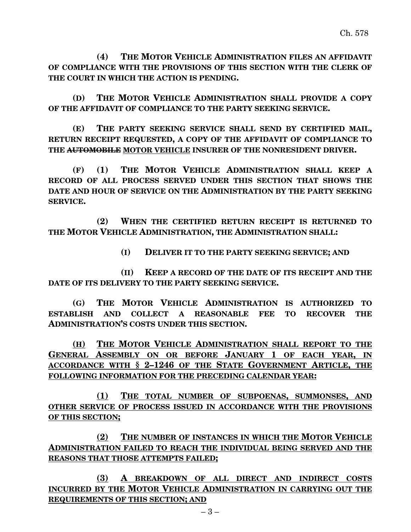**(4) THE MOTOR VEHICLE ADMINISTRATION FILES AN AFFIDAVIT OF COMPLIANCE WITH THE PROVISIONS OF THIS SECTION WITH THE CLERK OF THE COURT IN WHICH THE ACTION IS PENDING.**

**(D) THE MOTOR VEHICLE ADMINISTRATION SHALL PROVIDE A COPY OF THE AFFIDAVIT OF COMPLIANCE TO THE PARTY SEEKING SERVICE.**

**(E) THE PARTY SEEKING SERVICE SHALL SEND BY CERTIFIED MAIL, RETURN RECEIPT REQUESTED, A COPY OF THE AFFIDAVIT OF COMPLIANCE TO THE AUTOMOBILE MOTOR VEHICLE INSURER OF THE NONRESIDENT DRIVER.**

**(F) (1) THE MOTOR VEHICLE ADMINISTRATION SHALL KEEP A RECORD OF ALL PROCESS SERVED UNDER THIS SECTION THAT SHOWS THE DATE AND HOUR OF SERVICE ON THE ADMINISTRATION BY THE PARTY SEEKING SERVICE.**

**(2) WHEN THE CERTIFIED RETURN RECEIPT IS RETURNED TO THE MOTOR VEHICLE ADMINISTRATION, THE ADMINISTRATION SHALL:**

**(I) DELIVER IT TO THE PARTY SEEKING SERVICE; AND**

**(II) KEEP A RECORD OF THE DATE OF ITS RECEIPT AND THE DATE OF ITS DELIVERY TO THE PARTY SEEKING SERVICE.**

**(G) THE MOTOR VEHICLE ADMINISTRATION IS AUTHORIZED TO ESTABLISH AND COLLECT A REASONABLE FEE TO RECOVER THE ADMINISTRATION'S COSTS UNDER THIS SECTION.**

**(H) THE MOTOR VEHICLE ADMINISTRATION SHALL REPORT TO THE GENERAL ASSEMBLY ON OR BEFORE JANUARY 1 OF EACH YEAR, IN ACCORDANCE WITH § 2–1246 OF THE STATE GOVERNMENT ARTICLE, THE FOLLOWING INFORMATION FOR THE PRECEDING CALENDAR YEAR:**

**(1) THE TOTAL NUMBER OF SUBPOENAS, SUMMONSES, AND OTHER SERVICE OF PROCESS ISSUED IN ACCORDANCE WITH THE PROVISIONS OF THIS SECTION;**

**(2) THE NUMBER OF INSTANCES IN WHICH THE MOTOR VEHICLE ADMINISTRATION FAILED TO REACH THE INDIVIDUAL BEING SERVED AND THE REASONS THAT THOSE ATTEMPTS FAILED;**

**(3) A BREAKDOWN OF ALL DIRECT AND INDIRECT COSTS INCURRED BY THE MOTOR VEHICLE ADMINISTRATION IN CARRYING OUT THE REQUIREMENTS OF THIS SECTION; AND**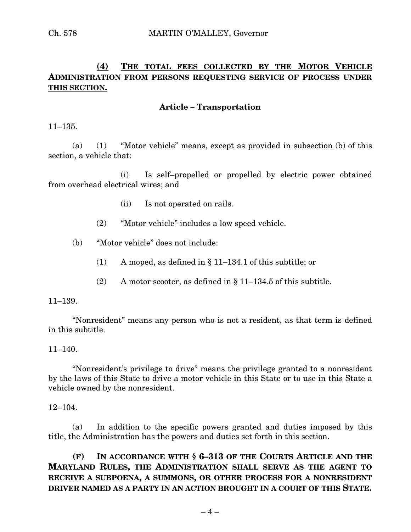## **(4) THE TOTAL FEES COLLECTED BY THE MOTOR VEHICLE ADMINISTRATION FROM PERSONS REQUESTING SERVICE OF PROCESS UNDER THIS SECTION.**

## **Article – Transportation**

11–135.

(a) (1) "Motor vehicle" means, except as provided in subsection (b) of this section, a vehicle that:

(i) Is self–propelled or propelled by electric power obtained from overhead electrical wires; and

- (ii) Is not operated on rails.
- (2) "Motor vehicle" includes a low speed vehicle.
- (b) "Motor vehicle" does not include:
	- (1) A moped, as defined in § 11–134.1 of this subtitle; or
	- (2) A motor scooter, as defined in § 11–134.5 of this subtitle.

#### 11–139.

"Nonresident" means any person who is not a resident, as that term is defined in this subtitle.

#### $11-140$ .

"Nonresident's privilege to drive" means the privilege granted to a nonresident by the laws of this State to drive a motor vehicle in this State or to use in this State a vehicle owned by the nonresident.

#### 12–104.

(a) In addition to the specific powers granted and duties imposed by this title, the Administration has the powers and duties set forth in this section.

**(F) IN ACCORDANCE WITH § 6–313 OF THE COURTS ARTICLE AND THE MARYLAND RULES, THE ADMINISTRATION SHALL SERVE AS THE AGENT TO RECEIVE A SUBPOENA, A SUMMONS, OR OTHER PROCESS FOR A NONRESIDENT DRIVER NAMED AS A PARTY IN AN ACTION BROUGHT IN A COURT OF THIS STATE.**